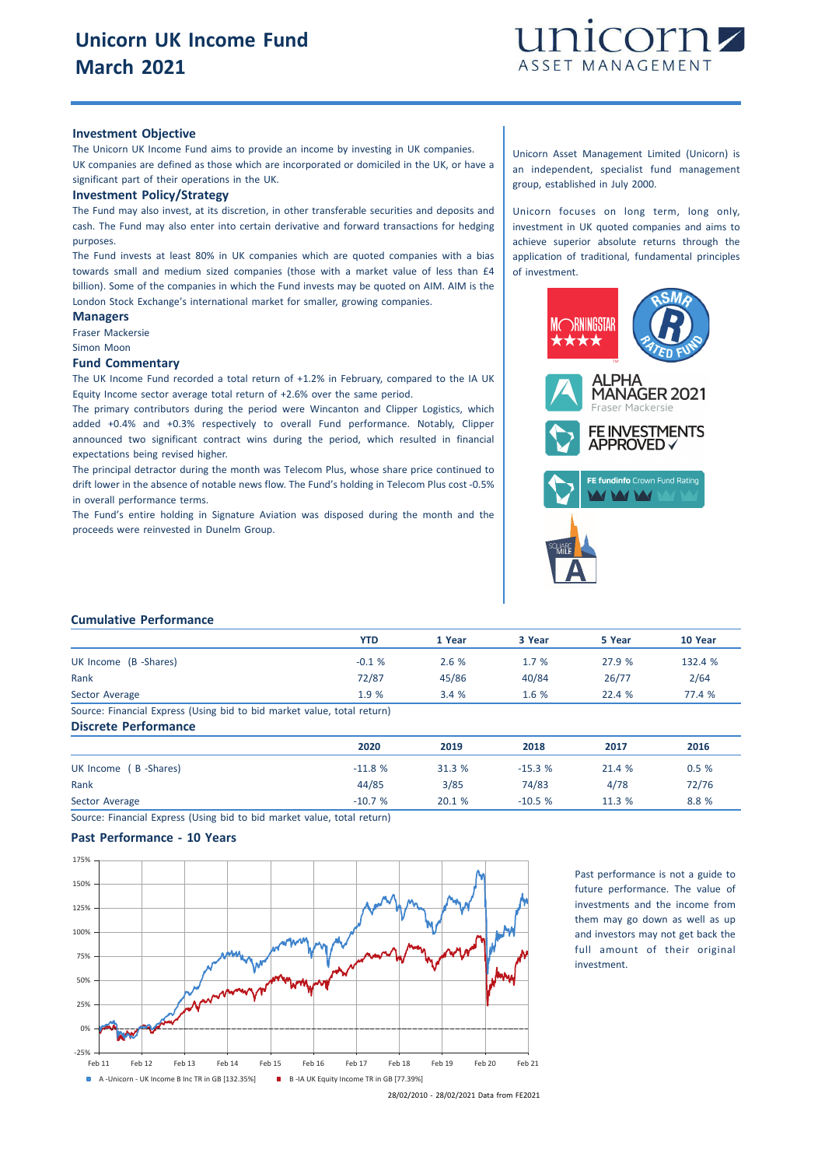

#### **Investment Objective**

The Unicorn UK Income Fund aims to provide an income by investing in UK companies. UK companies are defined as those which are incorporated or domiciled in the UK, or have a significant part of their operations in the UK.

#### **Investment Policy/Strategy**

The Fund may also invest, at its discretion, in other transferable securities and deposits and cash. The Fund may also enter into certain derivative and forward transactions for hedging purposes.

The Fund invests at least 80% in UK companies which are quoted companies with a bias towards small and medium sized companies (those with a market value of less than £4 billion). Some of the companies in which the Fund invests may be quoted on AIM. AIM is the London Stock Exchange's international market for smaller, growing companies.

# **Managers**

Fraser Mackersie Simon Moon

## **Fund Commentary**

The UK Income Fund recorded a total return of +1.2% in February, compared to the IA UK Equity Income sector average total return of +2.6% over the same period.

The primary contributors during the period were Wincanton and Clipper Logistics, which added +0.4% and +0.3% respectively to overall Fund performance. Notably, Clipper announced two significant contract wins during the period, which resulted in financial expectations being revised higher.

The principal detractor during the month was Telecom Plus, whose share price continued to drift lower in the absence of notable news flow. The Fund's holding in Telecom Plus cost -0.5% in overall performance terms.

The Fund's entire holding in Signature Aviation was disposed during the month and the proceeds were reinvested in Dunelm Group.

Unicorn Asset Management Limited (Unicorn) is an independent, specialist fund management group, established in July 2000.

Unicorn focuses on long term, long only, investment in UK quoted companies and aims to achieve superior absolute returns through the application of traditional, fundamental principles of investment.



#### **Cumulative Performance**

|                                                                         | <b>YTD</b> | 1 Year | 3 Year | 5 Year | 10 Year |
|-------------------------------------------------------------------------|------------|--------|--------|--------|---------|
| UK Income (B -Shares)                                                   | $-0.1%$    | 2.6%   | 1.7%   | 27.9 % | 132.4 % |
| Rank                                                                    | 72/87      | 45/86  | 40/84  | 26/77  | 2/64    |
| Sector Average                                                          | 1.9 %      | 3.4%   | 1.6%   | 22.4%  | 77.4 %  |
| Source: Financial Express (Using bid to bid market value, total return) |            |        |        |        |         |

**Discrete Performance**

|                       | 2020     | 2019   | 2018     | 2017   | 2016  |
|-----------------------|----------|--------|----------|--------|-------|
| UK Income (B -Shares) | $-11.8%$ | 31.3 % | $-15.3%$ | 21.4 % | 0.5%  |
| Rank                  | 44/85    | 3/85   | 74/83    | 4/78   | 72/76 |
| Sector Average        | $-10.7%$ | 20.1 % | $-10.5%$ | 11.3 % | 8.8 % |

Source: Financial Express (Using bid to bid market value, total return)

### **Past Performance - 10 Years**



Past performance is not a guide to future performance. The value of investments and the income from them may go down as well as up and investors may not get back the full amount of their original investment.

28/02/2010 - 28/02/2021 Data from FE2021